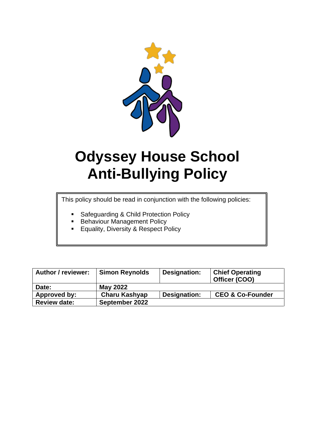

# **Odyssey House School Anti-Bullying Policy**

This policy should be read in conjunction with the following policies:

- Safeguarding & Child Protection Policy
- **Behaviour Management Policy**
- **Equality, Diversity & Respect Policy**

| <b>Author / reviewer:</b> | <b>Simon Reynolds</b> | Designation: | <b>Chief Operating</b><br>Officer (COO) |
|---------------------------|-----------------------|--------------|-----------------------------------------|
| Date:                     | <b>May 2022</b>       |              |                                         |
| Approved by:              | <b>Charu Kashyap</b>  | Designation: | <b>CEO &amp; Co-Founder</b>             |
| <b>Review date:</b>       | September 2022        |              |                                         |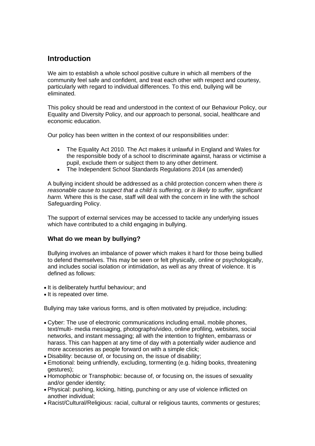# **Introduction**

We aim to establish a whole school positive culture in which all members of the community feel safe and confident, and treat each other with respect and courtesy, particularly with regard to individual differences. To this end, bullying will be eliminated.

This policy should be read and understood in the context of our Behaviour Policy, our Equality and Diversity Policy, and our approach to personal, social, healthcare and economic education.

Our policy has been written in the context of our responsibilities under:

- The Equality Act 2010. The Act makes it unlawful in England and Wales for the responsible body of a school to discriminate against, harass or victimise a pupil, exclude them or subject them to any other detriment.
- The Independent School Standards Regulations 2014 (as amended)

A bullying incident should be addressed as a child protection concern when there *is reasonable cause to suspect that a child is suffering, or is likely to suffer, significant harm.* Where this is the case, staff will deal with the concern in line with the school Safeguarding Policy.

The support of external services may be accessed to tackle any underlying issues which have contributed to a child engaging in bullying.

## **What do we mean by bullying?**

Bullying involves an imbalance of power which makes it hard for those being bullied to defend themselves. This may be seen or felt physically, online or psychologically, and includes social isolation or intimidation, as well as any threat of violence. It is defined as follows:

- It is deliberately hurtful behaviour; and
- It is repeated over time.

Bullying may take various forms, and is often motivated by prejudice, including:

- Cyber: The use of electronic communications including email, mobile phones, text/multi- media messaging, photographs/video, online profiling, websites, social networks, and instant messaging; all with the intention to frighten, embarrass or harass. This can happen at any time of day with a potentially wider audience and more accessories as people forward on with a simple click;
- Disability: because of, or focusing on, the issue of disability;
- Emotional: being unfriendly, excluding, tormenting (e.g. hiding books, threatening gestures);
- Homophobic or Transphobic: because of, or focusing on, the issues of sexuality and/or gender identity;
- Physical: pushing, kicking, hitting, punching or any use of violence inflicted on another individual;
- Racist/Cultural/Religious: racial, cultural or religious taunts, comments or gestures;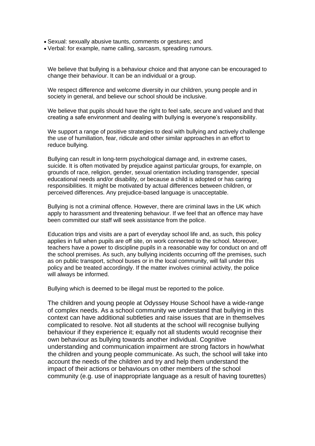- Sexual: sexually abusive taunts, comments or gestures; and
- Verbal: for example, name calling, sarcasm, spreading rumours.

We believe that bullying is a behaviour choice and that anyone can be encouraged to change their behaviour. It can be an individual or a group.

We respect difference and welcome diversity in our children, young people and in society in general, and believe our school should be inclusive.

We believe that pupils should have the right to feel safe, secure and valued and that creating a safe environment and dealing with bullying is everyone's responsibility.

We support a range of positive strategies to deal with bullying and actively challenge the use of humiliation, fear, ridicule and other similar approaches in an effort to reduce bullying.

Bullying can result in long-term psychological damage and, in extreme cases, suicide. It is often motivated by prejudice against particular groups, for example, on grounds of race, religion, gender, sexual orientation including transgender, special educational needs and/or disability, or because a child is adopted or has caring responsibilities. It might be motivated by actual differences between children, or perceived differences. Any prejudice-based language is unacceptable.

Bullying is not a criminal offence. However, there are criminal laws in the UK which apply to harassment and threatening behaviour. If we feel that an offence may have been committed our staff will seek assistance from the police.

Education trips and visits are a part of everyday school life and, as such, this policy applies in full when pupils are off site, on work connected to the school. Moreover, teachers have a power to discipline pupils in a reasonable way for conduct on and off the school premises. As such, any bullying incidents occurring off the premises, such as on public transport, school buses or in the local community, will fall under this policy and be treated accordingly. If the matter involves criminal activity, the police will always be informed.

Bullying which is deemed to be illegal must be reported to the police.

The children and young people at Odyssey House School have a wide-range of complex needs. As a school community we understand that bullying in this context can have additional subtleties and raise issues that are in themselves complicated to resolve. Not all students at the school will recognise bullying behaviour if they experience it; equally not all students would recognise their own behaviour as bullying towards another individual. Cognitive understanding and communication impairment are strong factors in how/what the children and young people communicate. As such, the school will take into account the needs of the children and try and help them understand the impact of their actions or behaviours on other members of the school community (e.g. use of inappropriate language as a result of having tourettes)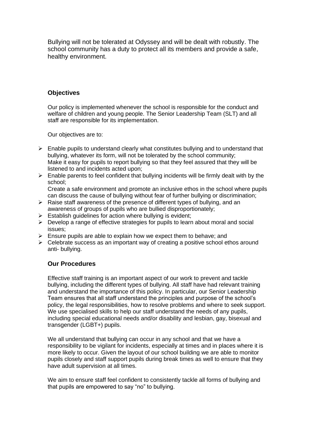Bullying will not be tolerated at Odyssey and will be dealt with robustly. The school community has a duty to protect all its members and provide a safe, healthy environment.

## **Objectives**

Our policy is implemented whenever the school is responsible for the conduct and welfare of children and young people. The Senior Leadership Team (SLT) and all staff are responsible for its implementation.

Our objectives are to:

- $\triangleright$  Enable pupils to understand clearly what constitutes bullying and to understand that bullying, whatever its form, will not be tolerated by the school community; Make it easy for pupils to report bullying so that they feel assured that they will be listened to and incidents acted upon;
- $\triangleright$  Enable parents to feel confident that bullying incidents will be firmly dealt with by the school;

Create a safe environment and promote an inclusive ethos in the school where pupils can discuss the cause of bullying without fear of further bullying or discrimination;

- $\triangleright$  Raise staff awareness of the presence of different types of bullying, and an awareness of groups of pupils who are bullied disproportionately;
- $\triangleright$  Establish guidelines for action where bullying is evident;
- ➢ Develop a range of effective strategies for pupils to learn about moral and social issues;
- $\triangleright$  Ensure pupils are able to explain how we expect them to behave; and
- $\triangleright$  Celebrate success as an important way of creating a positive school ethos around anti- bullying.

## **Our Procedures**

Effective staff training is an important aspect of our work to prevent and tackle bullying, including the different types of bullying. All staff have had relevant training and understand the importance of this policy. In particular, our Senior Leadership Team ensures that all staff understand the principles and purpose of the school's policy, the legal responsibilities, how to resolve problems and where to seek support. We use specialised skills to help our staff understand the needs of any pupils, including special educational needs and/or disability and lesbian, gay, bisexual and transgender (LGBT+) pupils.

We all understand that bullying can occur in any school and that we have a responsibility to be vigilant for incidents, especially at times and in places where it is more likely to occur. Given the layout of our school building we are able to monitor pupils closely and staff support pupils during break times as well to ensure that they have adult supervision at all times.

We aim to ensure staff feel confident to consistently tackle all forms of bullying and that pupils are empowered to say "no" to bullying.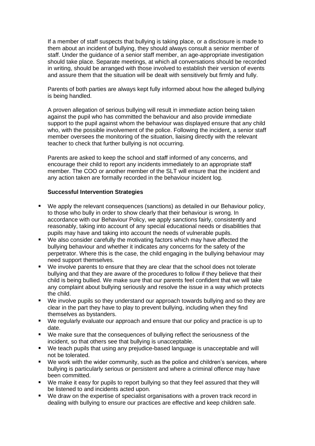If a member of staff suspects that bullying is taking place, or a disclosure is made to them about an incident of bullying, they should always consult a senior member of staff. Under the guidance of a senior staff member, an age-appropriate investigation should take place. Separate meetings, at which all conversations should be recorded in writing, should be arranged with those involved to establish their version of events and assure them that the situation will be dealt with sensitively but firmly and fully.

Parents of both parties are always kept fully informed about how the alleged bullying is being handled.

A proven allegation of serious bullying will result in immediate action being taken against the pupil who has committed the behaviour and also provide immediate support to the pupil against whom the behaviour was displayed ensure that any child who, with the possible involvement of the police. Following the incident, a senior staff member oversees the monitoring of the situation, liaising directly with the relevant teacher to check that further bullying is not occurring.

Parents are asked to keep the school and staff informed of any concerns, and encourage their child to report any incidents immediately to an appropriate staff member. The COO or another member of the SLT will ensure that the incident and any action taken are formally recorded in the behaviour incident log.

#### **Successful Intervention Strategies**

- We apply the relevant consequences (sanctions) as detailed in our Behaviour policy, to those who bully in order to show clearly that their behaviour is wrong. In accordance with our Behaviour Policy, we apply sanctions fairly, consistently and reasonably, taking into account of any special educational needs or disabilities that pupils may have and taking into account the needs of vulnerable pupils.
- We also consider carefully the motivating factors which may have affected the bullying behaviour and whether it indicates any concerns for the safety of the perpetrator. Where this is the case, the child engaging in the bullying behaviour may need support themselves.
- We involve parents to ensure that they are clear that the school does not tolerate bullying and that they are aware of the procedures to follow if they believe that their child is being bullied. We make sure that our parents feel confident that we will take any complaint about bullying seriously and resolve the issue in a way which protects the child.
- We involve pupils so they understand our approach towards bullying and so they are clear in the part they have to play to prevent bullying, including when they find themselves as bystanders.
- We regularly evaluate our approach and ensure that our policy and practice is up to date.
- We make sure that the consequences of bullying reflect the seriousness of the incident, so that others see that bullying is unacceptable.
- We teach pupils that using any prejudice-based language is unacceptable and will not be tolerated.
- We work with the wider community, such as the police and children's services, where bullying is particularly serious or persistent and where a criminal offence may have been committed.
- We make it easy for pupils to report bullying so that they feel assured that they will be listened to and incidents acted upon.
- We draw on the expertise of specialist organisations with a proven track record in dealing with bullying to ensure our practices are effective and keep children safe.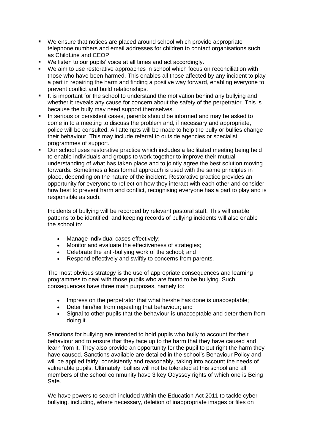- We ensure that notices are placed around school which provide appropriate telephone numbers and email addresses for children to contact organisations such as ChildLine and CEOP.
- We listen to our pupils' voice at all times and act accordingly.
- We aim to use restorative approaches in school which focus on reconciliation with those who have been harmed. This enables all those affected by any incident to play a part in repairing the harm and finding a positive way forward, enabling everyone to prevent conflict and build relationships.
- It is important for the school to understand the motivation behind any bullying and whether it reveals any cause for concern about the safety of the perpetrator. This is because the bully may need support themselves.
- In serious or persistent cases, parents should be informed and may be asked to come in to a meeting to discuss the problem and, if necessary and appropriate, police will be consulted. All attempts will be made to help the bully or bullies change their behaviour. This may include referral to outside agencies or specialist programmes of support.
- Our school uses restorative practice which includes a facilitated meeting being held to enable individuals and groups to work together to improve their mutual understanding of what has taken place and to jointly agree the best solution moving forwards. Sometimes a less formal approach is used with the same principles in place, depending on the nature of the incident. Restorative practice provides an opportunity for everyone to reflect on how they interact with each other and consider how best to prevent harm and conflict, recognising everyone has a part to play and is responsible as such.

Incidents of bullying will be recorded by relevant pastoral staff. This will enable patterns to be identified, and keeping records of bullying incidents will also enable the school to:

- Manage individual cases effectively;
- Monitor and evaluate the effectiveness of strategies;
- Celebrate the anti-bullying work of the school; and
- Respond effectively and swiftly to concerns from parents.

The most obvious strategy is the use of appropriate consequences and learning programmes to deal with those pupils who are found to be bullying. Such consequences have three main purposes, namely to:

- Impress on the perpetrator that what he/she has done is unacceptable;
- Deter him/her from repeating that behaviour; and
- Signal to other pupils that the behaviour is unacceptable and deter them from doing it.

Sanctions for bullying are intended to hold pupils who bully to account for their behaviour and to ensure that they face up to the harm that they have caused and learn from it. They also provide an opportunity for the pupil to put right the harm they have caused. Sanctions available are detailed in the school's Behaviour Policy and will be applied fairly, consistently and reasonably, taking into account the needs of vulnerable pupils. Ultimately, bullies will not be tolerated at this school and all members of the school community have 3 key Odyssey rights of which one is Being Safe.

We have powers to search included within the Education Act 2011 to tackle cyberbullying, including, where necessary, deletion of inappropriate images or files on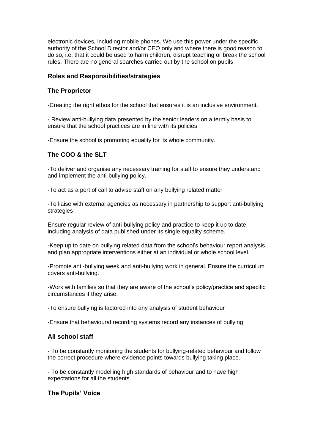electronic devices, including mobile phones. We use this power under the specific authority of the School Director and/or CEO only and where there is good reason to do so, i.e. that it could be used to harm children, disrupt teaching or break the school rules. There are no general searches carried out by the school on pupils

## **Roles and Responsibilities/strategies**

## **The Proprietor**

·Creating the right ethos for the school that ensures it is an inclusive environment.

· Review anti-bullying data presented by the senior leaders on a termly basis to ensure that the school practices are in line with its policies

·Ensure the school is promoting equality for its whole community.

## **The COO & the SLT**

·To deliver and organise any necessary training for staff to ensure they understand and implement the anti-bullying policy.

·To act as a port of call to advise staff on any bullying related matter

·To liaise with external agencies as necessary in partnership to support anti-bullying strategies

Ensure regular review of anti-bullying policy and practice to keep it up to date, including analysis of data published under its single equality scheme.

·Keep up to date on bullying related data from the school's behaviour report analysis and plan appropriate interventions either at an individual or whole school level.

·Promote anti-bullying week and anti-bullying work in general. Ensure the curriculum covers anti-bullying.

·Work with families so that they are aware of the school's policy/practice and specific circumstances if they arise.

·To ensure bullying is factored into any analysis of student behaviour

·Ensure that behavioural recording systems record any instances of bullying

#### **All school staff**

· To be constantly monitoring the students for bullying-related behaviour and follow the correct procedure where evidence points towards bullying taking place.

· To be constantly modelling high standards of behaviour and to have high expectations for all the students.

#### **The Pupils' Voice**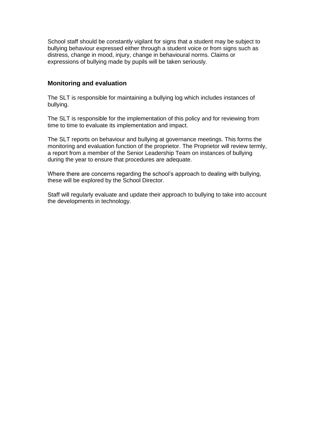School staff should be constantly vigilant for signs that a student may be subject to bullying behaviour expressed either through a student voice or from signs such as distress, change in mood, injury, change in behavioural norms. Claims or expressions of bullying made by pupils will be taken seriously.

## **Monitoring and evaluation**

The SLT is responsible for maintaining a bullying log which includes instances of bullying.

The SLT is responsible for the implementation of this policy and for reviewing from time to time to evaluate its implementation and impact.

The SLT reports on behaviour and bullying at governance meetings. This forms the monitoring and evaluation function of the proprietor. The Proprietor will review termly, a report from a member of the Senior Leadership Team on instances of bullying during the year to ensure that procedures are adequate.

Where there are concerns regarding the school's approach to dealing with bullying, these will be explored by the School Director.

Staff will regularly evaluate and update their approach to bullying to take into account the developments in technology.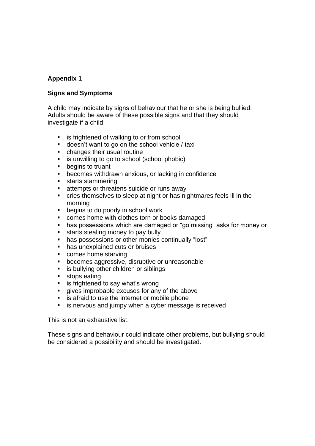## **Appendix 1**

## **Signs and Symptoms**

A child may indicate by signs of behaviour that he or she is being bullied. Adults should be aware of these possible signs and that they should investigate if a child:

- is frightened of walking to or from school
- doesn't want to go on the school vehicle / taxi
- changes their usual routine
- is unwilling to go to school (school phobic)<br>■ begins to truant
- begins to truant
- becomes withdrawn anxious, or lacking in confidence
- starts stammering
- attempts or threatens suicide or runs away
- cries themselves to sleep at night or has nightmares feels ill in the morning
- begins to do poorly in school work
- comes home with clothes torn or books damaged
- has possessions which are damaged or "go missing" asks for money or
- starts stealing money to pay bully
- has possessions or other monies continually "lost"
- has unexplained cuts or bruises
- comes home starving
- becomes aggressive, disruptive or unreasonable
- is bullying other children or siblings
- stops eating
- is frightened to say what's wrong
- gives improbable excuses for any of the above
- is afraid to use the internet or mobile phone
- is nervous and jumpy when a cyber message is received

This is not an exhaustive list.

These signs and behaviour could indicate other problems, but bullying should be considered a possibility and should be investigated.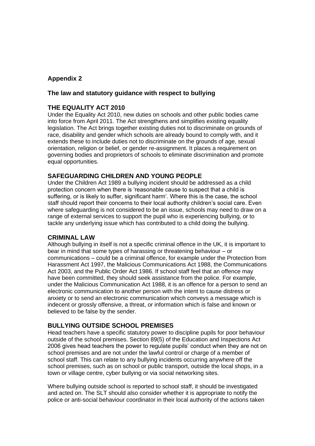## **Appendix 2**

#### **The law and statutory guidance with respect to bullying**

## **THE EQUALITY ACT 2010**

Under the Equality Act 2010, new duties on schools and other public bodies came into force from April 2011. The Act strengthens and simplifies existing equality legislation. The Act brings together existing duties not to discriminate on grounds of race, disability and gender which schools are already bound to comply with, and it extends these to include duties not to discriminate on the grounds of age, sexual orientation, religion or belief, or gender re-assignment. It places a requirement on governing bodies and proprietors of schools to eliminate discrimination and promote equal opportunities.

## **SAFEGUARDING CHILDREN AND YOUNG PEOPLE**

Under the Children Act 1989 a bullying incident should be addressed as a child protection concern when there is 'reasonable cause to suspect that a child is suffering, or is likely to suffer, significant harm'. Where this is the case, the school staff should report their concerns to their local authority children's social care. Even where safeguarding is not considered to be an issue, schools may need to draw on a range of external services to support the pupil who is experiencing bullying, or to tackle any underlying issue which has contributed to a child doing the bullying.

## **CRIMINAL LAW**

Although bullying in itself is not a specific criminal offence in the UK, it is important to bear in mind that some types of harassing or threatening behaviour – or communications – could be a criminal offence, for example under the Protection from Harassment Act 1997, the Malicious Communications Act 1988, the Communications Act 2003, and the Public Order Act 1986. If school staff feel that an offence may have been committed, they should seek assistance from the police. For example, under the Malicious Communication Act 1988, it is an offence for a person to send an electronic communication to another person with the intent to cause distress or anxiety or to send an electronic communication which conveys a message which is indecent or grossly offensive, a threat, or information which is false and known or believed to be false by the sender.

## **BULLYING OUTSIDE SCHOOL PREMISES**

Head teachers have a specific statutory power to discipline pupils for poor behaviour outside of the school premises. Section 89(5) of the Education and Inspections Act 2006 gives head teachers the power to regulate pupils' conduct when they are not on school premises and are not under the lawful control or charge of a member of school staff. This can relate to any bullying incidents occurring anywhere off the school premises, such as on school or public transport, outside the local shops, in a town or village centre, cyber bullying or via social networking sites.

Where bullying outside school is reported to school staff, it should be investigated and acted on. The SLT should also consider whether it is appropriate to notify the police or anti-social behaviour coordinator in their local authority of the actions taken